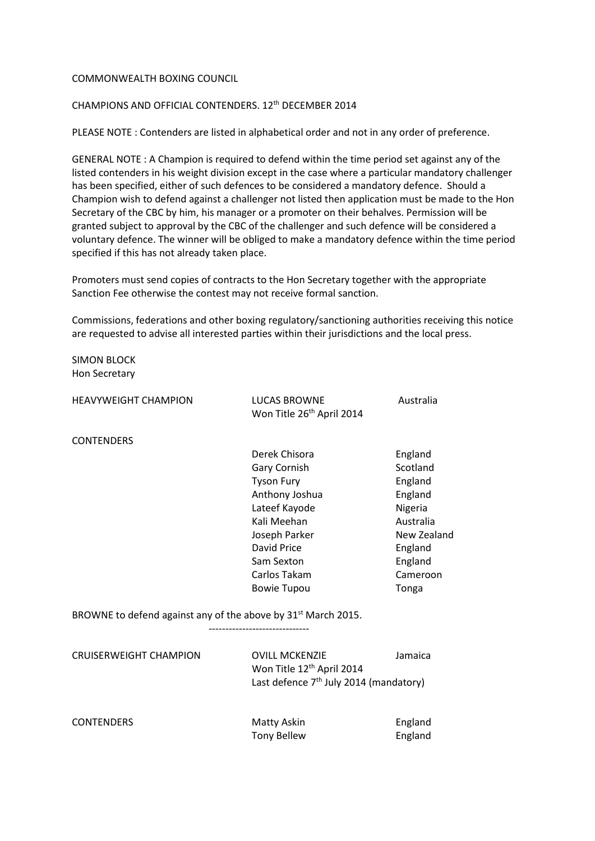## COMMONWEALTH BOXING COUNCIL

## CHAMPIONS AND OFFICIAL CONTENDERS. 12th DECEMBER 2014

PLEASE NOTE : Contenders are listed in alphabetical order and not in any order of preference.

GENERAL NOTE : A Champion is required to defend within the time period set against any of the listed contenders in his weight division except in the case where a particular mandatory challenger has been specified, either of such defences to be considered a mandatory defence. Should a Champion wish to defend against a challenger not listed then application must be made to the Hon Secretary of the CBC by him, his manager or a promoter on their behalves. Permission will be granted subject to approval by the CBC of the challenger and such defence will be considered a voluntary defence. The winner will be obliged to make a mandatory defence within the time period specified if this has not already taken place.

Promoters must send copies of contracts to the Hon Secretary together with the appropriate Sanction Fee otherwise the contest may not receive formal sanction.

Commissions, federations and other boxing regulatory/sanctioning authorities receiving this notice are requested to advise all interested parties within their jurisdictions and the local press.

SIMON BLOCK Hon Secretary

| <b>HEAVYWEIGHT CHAMPION</b>                                               | <b>LUCAS BROWNE</b><br>Won Title 26 <sup>th</sup> April 2014 | Australia   |
|---------------------------------------------------------------------------|--------------------------------------------------------------|-------------|
| <b>CONTENDERS</b>                                                         |                                                              |             |
|                                                                           | Derek Chisora                                                | England     |
|                                                                           | Gary Cornish                                                 | Scotland    |
|                                                                           | <b>Tyson Fury</b>                                            | England     |
|                                                                           | Anthony Joshua                                               | England     |
|                                                                           | Lateef Kayode                                                | Nigeria     |
|                                                                           | Kali Meehan                                                  | Australia   |
|                                                                           | Joseph Parker                                                | New Zealand |
|                                                                           | David Price                                                  | England     |
|                                                                           | Sam Sexton                                                   | England     |
|                                                                           | Carlos Takam                                                 | Cameroon    |
|                                                                           | <b>Bowie Tupou</b>                                           | Tonga       |
| BROWNE to defend against any of the above by 31 <sup>st</sup> March 2015. |                                                              |             |
| <b>CRUISERWEIGHT CHAMPION</b>                                             | <b>OVILL MCKENZIE</b>                                        | Jamaica     |
|                                                                           | Won Title 12 <sup>th</sup> April 2014                        |             |
|                                                                           | Last defence $7th$ July 2014 (mandatory)                     |             |
| <b>CONTENDERS</b>                                                         |                                                              |             |
|                                                                           | Matty Askin                                                  | England     |

Tony Bellew England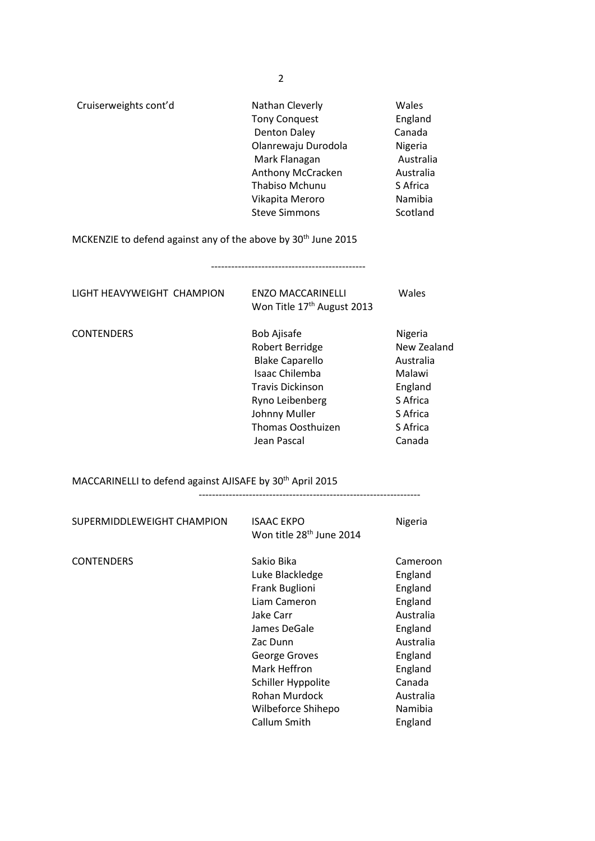| Cruiserweights cont'd | Nathan Cleverly       | Wales     |
|-----------------------|-----------------------|-----------|
|                       | <b>Tony Conquest</b>  | England   |
|                       | <b>Denton Daley</b>   | Canada    |
|                       | Olanrewaju Durodola   | Nigeria   |
|                       | Mark Flanagan         | Australia |
|                       | Anthony McCracken     | Australia |
|                       | <b>Thabiso Mchunu</b> | S Africa  |
|                       | Vikapita Meroro       | Namibia   |
|                       | <b>Steve Simmons</b>  | Scotland  |

MCKENZIE to defend against any of the above by 30<sup>th</sup> June 2015

| LIGHT HEAVYWEIGHT CHAMPION | <b>ENZO MACCARINELLI</b><br>Won Title 17 <sup>th</sup> August 2013                                                                                                                   | Wales                                                                                                  |
|----------------------------|--------------------------------------------------------------------------------------------------------------------------------------------------------------------------------------|--------------------------------------------------------------------------------------------------------|
| <b>CONTENDERS</b>          | <b>Bob Ajisafe</b><br>Robert Berridge<br><b>Blake Caparello</b><br>Isaac Chilemba<br><b>Travis Dickinson</b><br>Ryno Leibenberg<br>Johnny Muller<br>Thomas Oosthuizen<br>Jean Pascal | Nigeria<br>New Zealand<br>Australia<br>Malawi<br>England<br>S Africa<br>S Africa<br>S Africa<br>Canada |

MACCARINELLI to defend against AJISAFE by 30th April 2015 ------------------------------------------------------------------

| SUPERMIDDLEWEIGHT CHAMPION | <b>ISAAC EKPO</b><br>Won title 28 <sup>th</sup> June 2014                                                                                                                                                              | Nigeria                                                                                                                                           |
|----------------------------|------------------------------------------------------------------------------------------------------------------------------------------------------------------------------------------------------------------------|---------------------------------------------------------------------------------------------------------------------------------------------------|
| <b>CONTENDERS</b>          | Sakio Bika<br>Luke Blackledge<br>Frank Buglioni<br>Liam Cameron<br>Jake Carr<br>James DeGale<br>Zac Dunn<br>George Groves<br>Mark Heffron<br>Schiller Hyppolite<br>Rohan Murdock<br>Wilbeforce Shihepo<br>Callum Smith | Cameroon<br>England<br>England<br>England<br>Australia<br>England<br>Australia<br>England<br>England<br>Canada<br>Australia<br>Namibia<br>England |

2

----------------------------------------------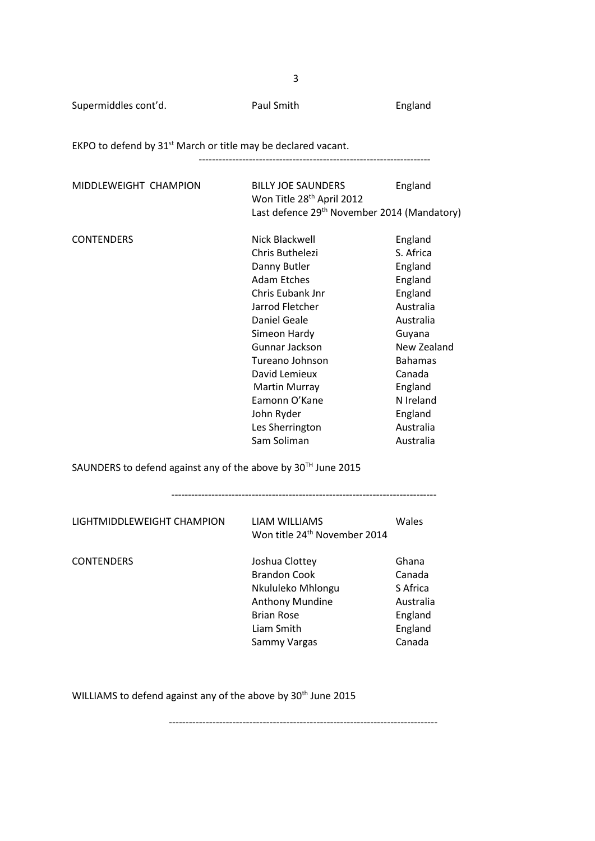Supermiddles cont'd. The Paul Smith England England

EKPO to defend by 31<sup>st</sup> March or title may be declared vacant.

---------------------------------------------------------------------

| MIDDLEWEIGHT CHAMPION                                        | <b>BILLY JOE SAUNDERS</b><br>Won Title 28 <sup>th</sup> April 2012 | England        |
|--------------------------------------------------------------|--------------------------------------------------------------------|----------------|
|                                                              | Last defence 29 <sup>th</sup> November 2014 (Mandatory)            |                |
| <b>CONTENDERS</b>                                            | Nick Blackwell                                                     | England        |
|                                                              | Chris Buthelezi                                                    | S. Africa      |
|                                                              | Danny Butler                                                       | England        |
|                                                              | <b>Adam Etches</b>                                                 | England        |
|                                                              | Chris Eubank Jnr                                                   | England        |
|                                                              | Jarrod Fletcher                                                    | Australia      |
|                                                              | <b>Daniel Geale</b>                                                | Australia      |
|                                                              | Simeon Hardy                                                       | Guyana         |
|                                                              | Gunnar Jackson                                                     | New Zealand    |
|                                                              | Tureano Johnson                                                    | <b>Bahamas</b> |
|                                                              | David Lemieux                                                      | Canada         |
|                                                              | <b>Martin Murray</b>                                               | England        |
|                                                              | Eamonn O'Kane                                                      | N Ireland      |
|                                                              | John Ryder                                                         | England        |
|                                                              | Les Sherrington                                                    | Australia      |
|                                                              | Sam Soliman                                                        | Australia      |
| SAUNDERS to defend against any of the above by 30™ June 2015 |                                                                    |                |
| LIGHTMIDDLEWEIGHT CHAMPION                                   | <b>LIAM WILLIAMS</b><br>Won title 24 <sup>th</sup> November 2014   | Wales          |
|                                                              |                                                                    |                |
| <b>CONTENDERS</b>                                            | Joshua Clottey                                                     | Ghana          |
|                                                              | <b>Brandon Cook</b>                                                | Canada         |
|                                                              | Nkululeko Mhlongu                                                  | S Africa       |
|                                                              | Anthony Mundine                                                    | Australia      |
|                                                              | <b>Brian Rose</b>                                                  | England        |
|                                                              | Liam Smith                                                         | England        |

WILLIAMS to defend against any of the above by 30<sup>th</sup> June 2015

--------------------------------------------------------------------------------

Sammy Vargas Canada

 $\sim$  3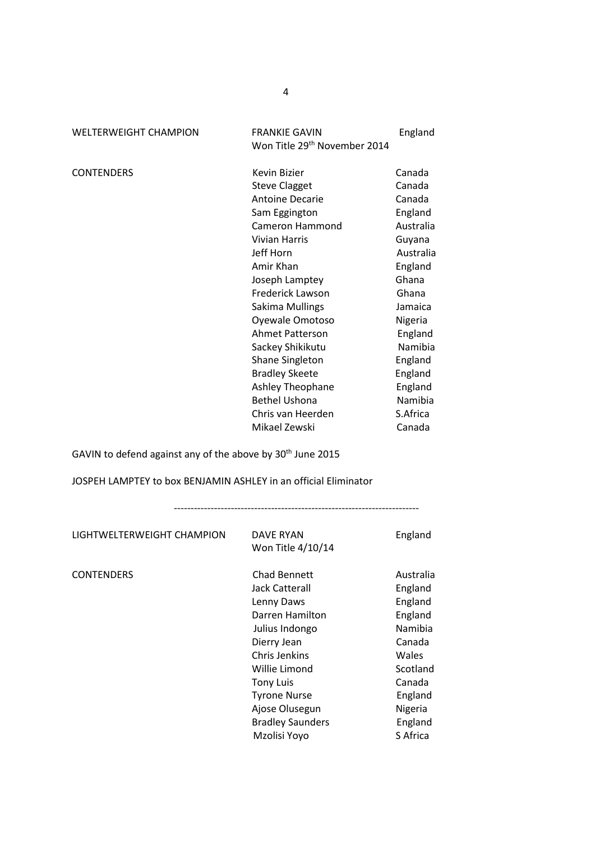| <b>WELTERWEIGHT CHAMPION</b> |  |
|------------------------------|--|
|                              |  |

FRANKIE GAVIN England Won Title 29<sup>th</sup> November 2014

CONTENDERS Kevin Bizier Canada Steve Clagget Canada Antoine Decarie Canada Sam Eggington England Cameron Hammond Australia Vivian Harris **Guyana** Jeff Horn **Australia** Amir Khan **England**  Joseph Lamptey Ghana Frederick Lawson Ghana Sakima Mullings **Jamaica** Oyewale Omotoso Nigeria Ahmet Patterson England Sackey Shikikutu Namibia Shane Singleton England Bradley Skeete England Ashley Theophane **England** Bethel Ushona Namibia Chris van Heerden S.Africa Mikael Zewski Canada

GAVIN to defend against any of the above by 30<sup>th</sup> June 2015

JOSPEH LAMPTEY to box BENJAMIN ASHLEY in an official Eliminator

-------------------------------------------------------------------------

| DAVE RYAN<br>Won Title 4/10/14                                                                                                                                                                  | England                                                                                                              |
|-------------------------------------------------------------------------------------------------------------------------------------------------------------------------------------------------|----------------------------------------------------------------------------------------------------------------------|
| Chad Bennett<br>Jack Catterall<br>Lenny Daws<br>Darren Hamilton<br>Julius Indongo<br>Dierry Jean<br>Chris Jenkins<br>Willie Limond<br><b>Tony Luis</b><br><b>Tyrone Nurse</b><br>Ajose Olusegun | Australia<br>England<br>England<br>England<br>Namibia<br>Canada<br>Wales<br>Scotland<br>Canada<br>England<br>Nigeria |
| <b>Bradley Saunders</b><br>Mzolisi Yoyo                                                                                                                                                         | England                                                                                                              |
|                                                                                                                                                                                                 |                                                                                                                      |

4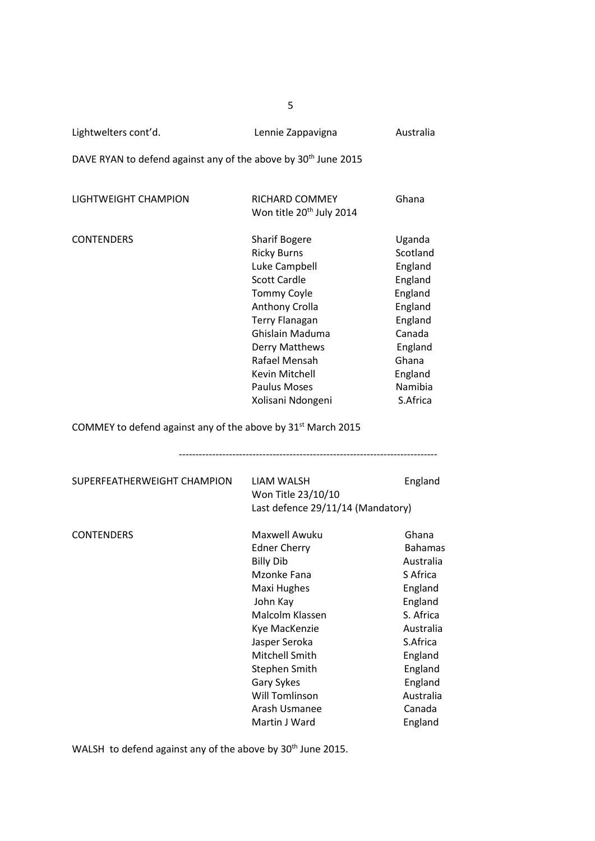Lightwelters cont'd. Lennie Zappavigna Australia

DAVE RYAN to defend against any of the above by 30<sup>th</sup> June 2015

| LIGHTWEIGHT CHAMPION | RICHARD COMMEY<br>Won title 20 <sup>th</sup> July 2014 | Ghana    |
|----------------------|--------------------------------------------------------|----------|
| <b>CONTENDERS</b>    | <b>Sharif Bogere</b>                                   | Uganda   |
|                      | <b>Ricky Burns</b>                                     | Scotland |
|                      | Luke Campbell                                          | England  |
|                      | <b>Scott Cardle</b>                                    | England  |
|                      | <b>Tommy Coyle</b>                                     | England  |
|                      | <b>Anthony Crolla</b>                                  | England  |
|                      | <b>Terry Flanagan</b>                                  | England  |
|                      | Ghislain Maduma                                        | Canada   |
|                      | Derry Matthews                                         | England  |
|                      | Rafael Mensah                                          | Ghana    |
|                      | Kevin Mitchell                                         | England  |
|                      | <b>Paulus Moses</b>                                    | Namibia  |
|                      | Xolisani Ndongeni                                      | S.Africa |
|                      |                                                        |          |

COMMEY to defend against any of the above by  $31<sup>st</sup>$  March 2015

| SUPERFEATHERWEIGHT CHAMPION | LIAM WALSH<br>Won Title 23/10/10<br>Last defence 29/11/14 (Mandatory)                                                                                                                                                                                               | England                                                                                                                                                                         |
|-----------------------------|---------------------------------------------------------------------------------------------------------------------------------------------------------------------------------------------------------------------------------------------------------------------|---------------------------------------------------------------------------------------------------------------------------------------------------------------------------------|
| <b>CONTENDERS</b>           | Maxwell Awuku<br><b>Edner Cherry</b><br><b>Billy Dib</b><br>Mzonke Fana<br>Maxi Hughes<br>John Kay<br>Malcolm Klassen<br>Kye MacKenzie<br>Jasper Seroka<br>Mitchell Smith<br>Stephen Smith<br>Gary Sykes<br><b>Will Tomlinson</b><br>Arash Usmanee<br>Martin J Ward | Ghana<br><b>Bahamas</b><br>Australia<br>S Africa<br>England<br>England<br>S. Africa<br>Australia<br>S.Africa<br>England<br>England<br>England<br>Australia<br>Canada<br>England |

WALSH to defend against any of the above by 30<sup>th</sup> June 2015.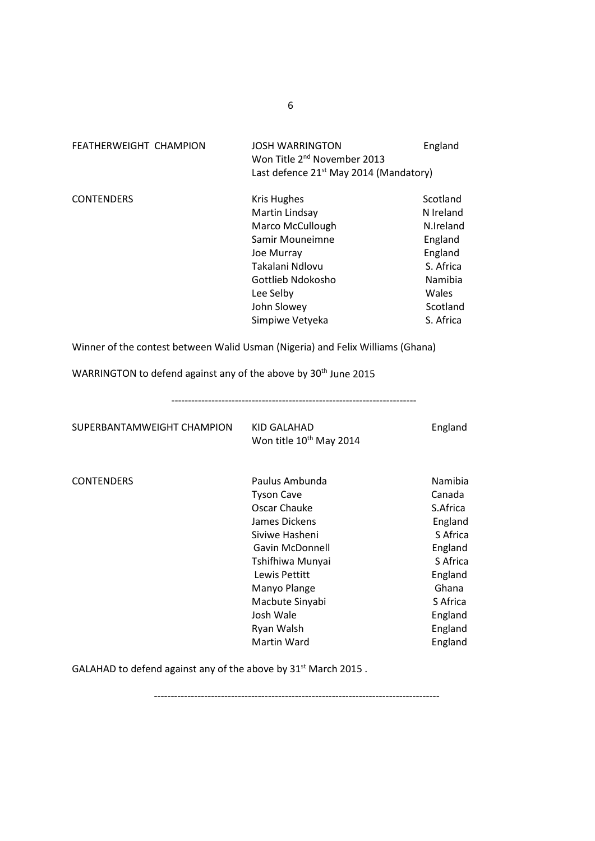| <b>FEATHERWEIGHT CHAMPION</b>                                                  | <b>JOSH WARRINGTON</b><br>Won Title 2 <sup>nd</sup> November 2013<br>Last defence 21 <sup>st</sup> May 2014 (Mandatory)                                                                                                     | England                                                                                                                                      |
|--------------------------------------------------------------------------------|-----------------------------------------------------------------------------------------------------------------------------------------------------------------------------------------------------------------------------|----------------------------------------------------------------------------------------------------------------------------------------------|
| <b>CONTENDERS</b>                                                              | <b>Kris Hughes</b><br>Martin Lindsay<br>Marco McCullough<br>Samir Mouneimne<br>Joe Murray<br>Takalani Ndlovu<br>Gottlieb Ndokosho<br>Lee Selby<br>John Slowey<br>Simpiwe Vetyeka                                            | Scotland<br>N Ireland<br>N.Ireland<br>England<br>England<br>S. Africa<br>Namibia<br>Wales<br>Scotland<br>S. Africa                           |
| Winner of the contest between Walid Usman (Nigeria) and Felix Williams (Ghana) |                                                                                                                                                                                                                             |                                                                                                                                              |
| WARRINGTON to defend against any of the above by 30 <sup>th</sup> June 2015    |                                                                                                                                                                                                                             |                                                                                                                                              |
| SUPERBANTAMWEIGHT CHAMPION                                                     | KID GALAHAD<br>Won title 10 <sup>th</sup> May 2014                                                                                                                                                                          | England                                                                                                                                      |
| <b>CONTENDERS</b>                                                              | Paulus Ambunda<br><b>Tyson Cave</b><br>Oscar Chauke<br>James Dickens<br>Siviwe Hasheni<br>Gavin McDonnell<br>Tshifhiwa Munyai<br>Lewis Pettitt<br>Manyo Plange<br>Macbute Sinyabi<br>Josh Wale<br>Ryan Walsh<br>Martin Ward | Namibia<br>Canada<br>S.Africa<br>England<br>S Africa<br>England<br>S Africa<br>England<br>Ghana<br>S Africa<br>England<br>England<br>England |

GALAHAD to defend against any of the above by  $31<sup>st</sup>$  March 2015.

-------------------------------------------------------------------------------------

6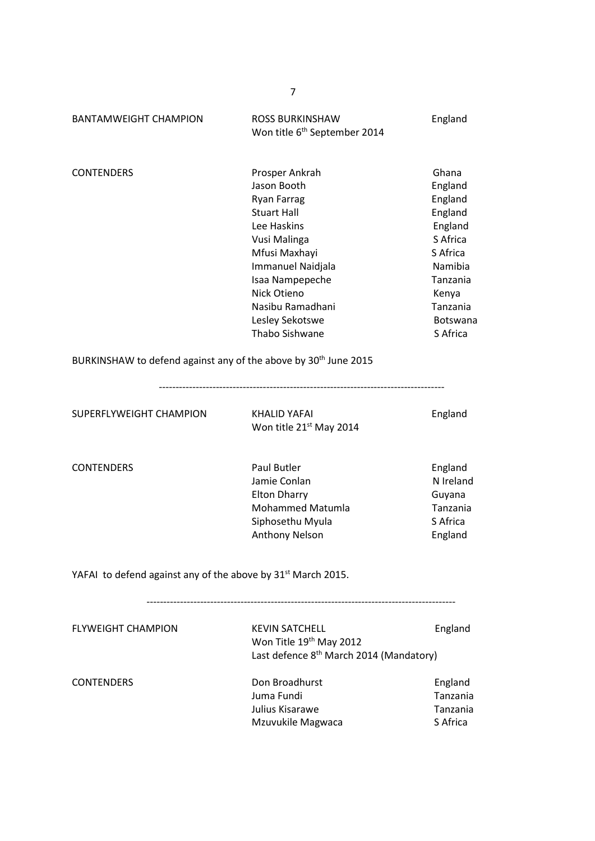| <b>BANTAMWEIGHT CHAMPION</b>                                                | <b>ROSS BURKINSHAW</b><br>Won title 6 <sup>th</sup> September 2014                                                                                                                                                                        | England                                                                                                                                       |
|-----------------------------------------------------------------------------|-------------------------------------------------------------------------------------------------------------------------------------------------------------------------------------------------------------------------------------------|-----------------------------------------------------------------------------------------------------------------------------------------------|
| <b>CONTENDERS</b>                                                           | Prosper Ankrah<br>Jason Booth<br><b>Ryan Farrag</b><br><b>Stuart Hall</b><br>Lee Haskins<br>Vusi Malinga<br>Mfusi Maxhayi<br>Immanuel Naidjala<br>Isaa Nampepeche<br>Nick Otieno<br>Nasibu Ramadhani<br>Lesley Sekotswe<br>Thabo Sishwane | Ghana<br>England<br>England<br>England<br>England<br>S Africa<br>S Africa<br>Namibia<br>Tanzania<br>Kenya<br>Tanzania<br>Botswana<br>S Africa |
| BURKINSHAW to defend against any of the above by 30 <sup>th</sup> June 2015 |                                                                                                                                                                                                                                           |                                                                                                                                               |
| SUPERFLYWEIGHT CHAMPION                                                     | <b>KHALID YAFAI</b><br>Won title 21 <sup>st</sup> May 2014                                                                                                                                                                                | England                                                                                                                                       |
| <b>CONTENDERS</b>                                                           | <b>Paul Butler</b><br>Jamie Conlan<br><b>Elton Dharry</b><br><b>Mohammed Matumla</b><br>Siphosethu Myula<br><b>Anthony Nelson</b>                                                                                                         | England<br>N Ireland<br>Guyana<br>Tanzania<br>S Africa<br>England                                                                             |
| YAFAI to defend against any of the above by 31 <sup>st</sup> March 2015.    |                                                                                                                                                                                                                                           |                                                                                                                                               |
| <b>FLYWEIGHT CHAMPION</b>                                                   | <b>KEVIN SATCHELL</b><br>Won Title 19th May 2012<br>Last defence 8 <sup>th</sup> March 2014 (Mandatory)                                                                                                                                   | England                                                                                                                                       |
| <b>CONTENDERS</b>                                                           | Don Broadhurst<br>Juma Fundi<br>Julius Kisarawe<br>Mzuvukile Magwaca                                                                                                                                                                      | England<br>Tanzania<br>Tanzania<br>S Africa                                                                                                   |

7